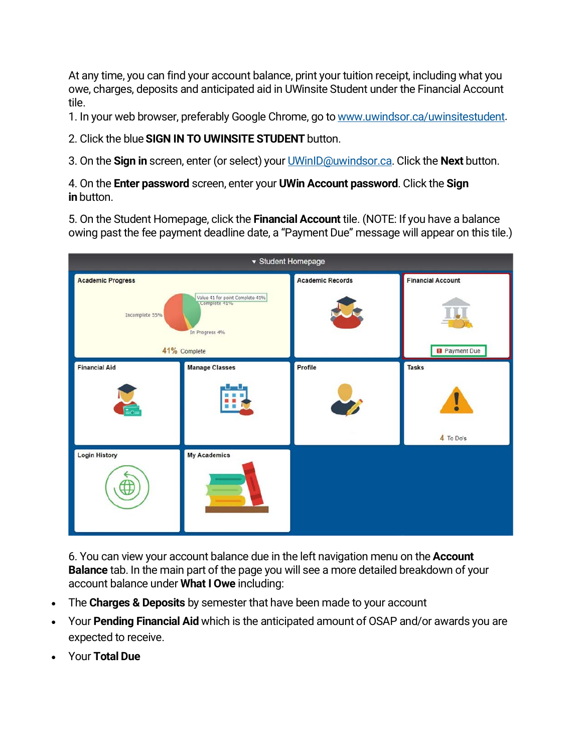At any time, you can find your account balance, print your tuition receipt, including what you owe, charges, deposits and anticipated aid in UWinsite Student under the Financial Account tile.

1. In your web browser, preferably Google Chrome, go to [www.uwindsor.ca/uwinsitestudent.](http://www.uwindsor.ca/uwinsitestudent)

2. Click the blue**SIGN IN TO UWINSITE STUDENT** button.

3. On the **Sign in** screen, enter (or select) your [UWinID@uwindsor.ca.](mailto:yourUWinID@uwindsor.ca) Click the **Next** button.

4. On the **Enter password** screen, enter your **UWin Account password**. Click the **Sign in** button.

5. On the Student Homepage, click the **Financial Account** tile. (NOTE: If you have a balance owing past the fee payment deadline date, a "Payment Due" message will appear on this tile.)



6. You can view your account balance due in the left navigation menu on the **Account Balance** tab. In the main part of the page you will see a more detailed breakdown of your account balance under **What I Owe** including:

- The **Charges & Deposits** by semester that have been made to your account
- Your **Pending Financial Aid** which is the anticipated amount of OSAP and/or awards you are expected to receive.
- Your **Total Due**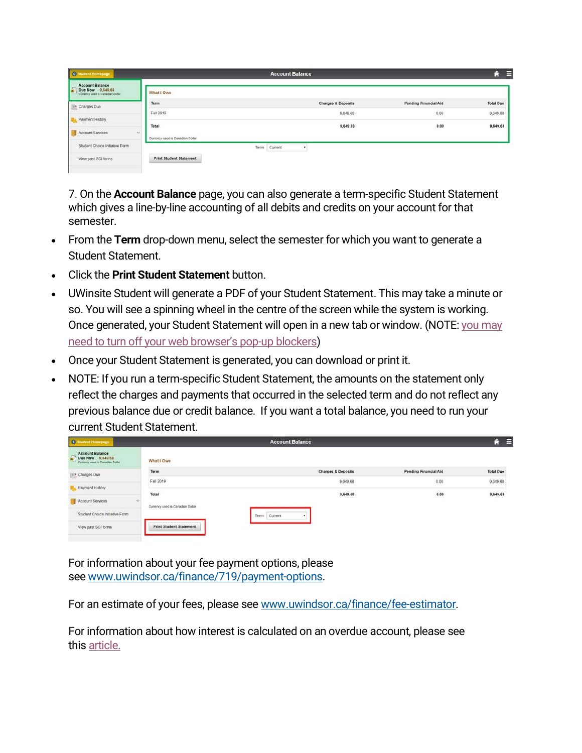| Student Homepage                                                                    |                                  |      | <b>Account Balance</b> |                               |                       | E<br>⋒           |
|-------------------------------------------------------------------------------------|----------------------------------|------|------------------------|-------------------------------|-----------------------|------------------|
| <b>Account Balance</b><br>E<br>Due Now 9,649.68<br>Currency used is Canadian Dollar | What I Owe                       |      |                        |                               |                       |                  |
| Charges Due                                                                         | Term                             |      |                        | <b>Charges &amp; Deposits</b> | Pending Financial Aid | <b>Total Due</b> |
|                                                                                     | Fall 2019                        |      |                        | 9,649.68                      | 0.00                  | 9,649.68         |
| Payment History                                                                     | Total                            |      |                        | 9,649.68                      | 0.00                  | 9,649.68         |
| Account Services<br>$\omega$                                                        | Currency used is Canadian Dollar |      |                        |                               |                       |                  |
| Student Choice Initiative Form                                                      |                                  | Term | Current                |                               |                       |                  |
| View past SCI forms                                                                 | <b>Print Student Statement</b>   |      |                        |                               |                       |                  |
|                                                                                     |                                  |      |                        |                               |                       |                  |

7. On the **Account Balance** page, you can also generate a term-specific Student Statement which gives a line-by-line accounting of all debits and credits on your account for that semester.

- From the **Term** drop-down menu, select the semester for which you want to generate a Student Statement.
- Click the **Print Student Statement** button.
- UWinsite Student will generate a PDF of your Student Statement. This may take a minute or so. You will see a spinning wheel in the centre of the screen while the system is working. Once generated, your Student Statement will open in a new tab or window. (NOTE: [you may](https://ask.uwindsor.ca/app/answers/detail/a_id/322)  [need to turn off your web browser's pop-up blockers\)](https://ask.uwindsor.ca/app/answers/detail/a_id/322)
- Once your Student Statement is generated, you can download or print it.
- NOTE: If you run a term-specific Student Statement, the amounts on the statement only reflect the charges and payments that occurred in the selected term and do not reflect any previous balance due or credit balance. If you want a total balance, you need to run your current Student Statement.

| <b>C</b> Student Homepage                                                                       |                                         | <b>Account Balance</b>        |                              | Е<br>⋒           |
|-------------------------------------------------------------------------------------------------|-----------------------------------------|-------------------------------|------------------------------|------------------|
| <b>Account Balance</b><br>$\frac{1}{2}$<br>Due Now 9,649.68<br>Currency used is Canadian Dollar | What I Owe                              |                               |                              |                  |
| Charges Due                                                                                     | Term                                    | <b>Charges &amp; Deposits</b> | <b>Pending Financial Aid</b> | <b>Total Due</b> |
|                                                                                                 | Fall 2019                               | 9,649.68                      | いい<br>0.00                   | 9,649.68         |
| Payment History                                                                                 | Total                                   | 9,649.68                      | 0.00                         | 9,649.68         |
| $\sim$<br>Account Services                                                                      | ana<br>Currency used is Canadian Dollar |                               | xeo                          |                  |
| Student Choice Initiative Form                                                                  | Term                                    | Current                       |                              |                  |
| View past SCI forms                                                                             | <b>Print Student Statement</b>          |                               |                              |                  |

For information about your fee payment options, please see [www.uwindsor.ca/finance/719/payment-options.](http://www.uwindsor.ca/finance/719/payment-options)

For an estimate of your fees, please see [www.uwindsor.ca/finance/fee-estimator.](http://www.uwindsor.ca/finance/fee-estimator)

For information about how interest is calculated on an overdue account, please see this [article.](http://ask.uwindsor.ca/app/answers/detail/a_id/184)